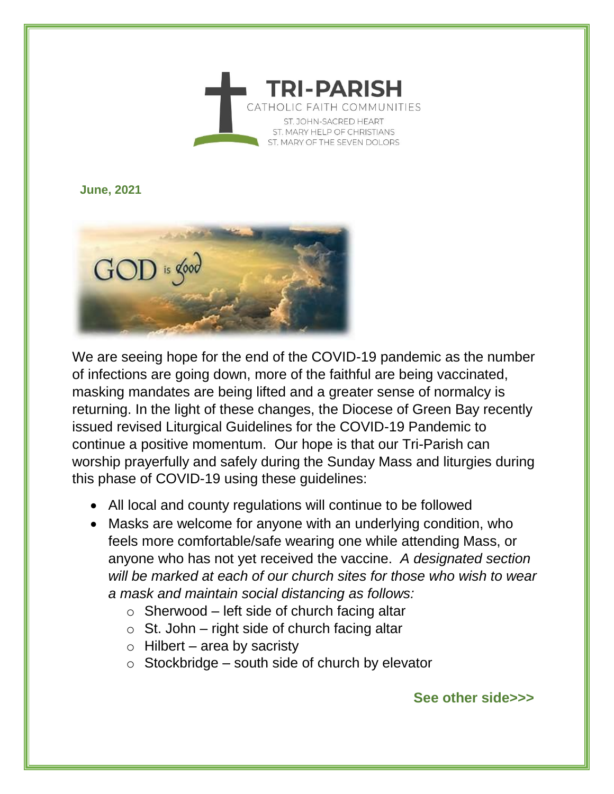

**June, 2021**



We are seeing hope for the end of the COVID-19 pandemic as the number of infections are going down, more of the faithful are being vaccinated, masking mandates are being lifted and a greater sense of normalcy is returning. In the light of these changes, the Diocese of Green Bay recently issued revised Liturgical Guidelines for the COVID-19 Pandemic to continue a positive momentum. Our hope is that our Tri-Parish can worship prayerfully and safely during the Sunday Mass and liturgies during this phase of COVID-19 using these guidelines:

- All local and county regulations will continue to be followed
- Masks are welcome for anyone with an underlying condition, who feels more comfortable/safe wearing one while attending Mass, or anyone who has not yet received the vaccine. *A designated section will be marked at each of our church sites for those who wish to wear a mask and maintain social distancing as follows:*
	- $\circ$  Sherwood left side of church facing altar
	- $\circ$  St. John right side of church facing altar
	- $\circ$  Hilbert area by sacristy
	- $\circ$  Stockbridge south side of church by elevator

## **See other side>>>**